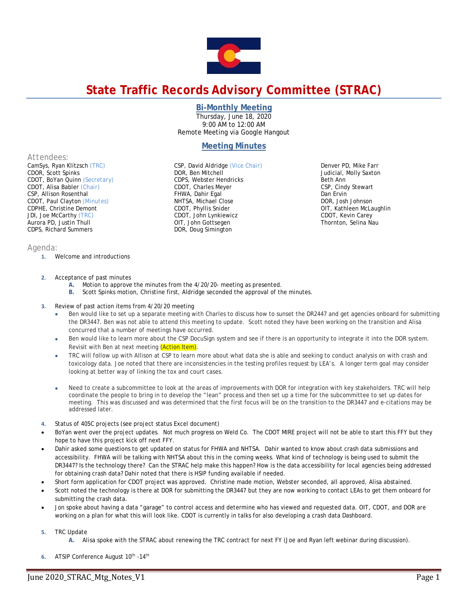

# **State Traffic Records Advisory Committee (STRAC)**

### **Bi-Monthly Meeting**

Thursday, June 18, 2020 9:00 AM to 12:00 AM Remote Meeting via Google Hangout

## **Meeting Minutes**

*Attendees:* 

CamSys, Ryan Klitzsch *(TRC)*  CDOR, Scott Spinks CDOT, BoYan Quinn *(Secretary)* CDOT, Alisa Babler *(Chair)* CSP, Allison Rosenthal CDOT, Paul Clayton *(Minutes)*  CDPHE, Christine Demont JDI, Joe McCarthy *(TRC)*  Aurora PD, Justin Thull CDPS, Richard Summers

#### *Agenda:*

- **1.** Welcome and introductions
- CDOT, Charles Meyer FHWA, Dahir Egal NHTSA, Michael Close CDOT, Phyllis Snider CDOT, John Lynkiewicz OIT, John Gottsegen DOR, Doug Simington

CSP, David Aldridge *(Vice Chair)*

DOR, Ben Mitchell CDPS, Webster Hendricks

Denver PD, Mike Farr Judicial, Molly Saxton Beth Ann CSP, Cindy Stewart Dan Ervin DOR, Josh Johnson OIT, Kathleen McLaughlin CDOT, Kevin Carey Thornton, Selina Nau

- **2.** Acceptance of past minutes
	- **A.** Motion to approve the minutes from the 4/20/20- meeting as presented.
	- **B.** Scott Spinks motion, Christine first, Aldridge seconded the approval of the minutes.
- **3.** Review of past action items from 4/20/20 meeting
	- Ben would like to set up a separate meeting with Charles to discuss how to sunset the DR2447 and get agencies onboard for submitting the DR3447. Ben was not able to attend this meeting to update. Scott noted they have been working on the transition and Alisa concurred that a number of meetings have occurred.
	- Ben would like to learn more about the CSP DocuSign system and see if there is an opportunity to integrate it into the DOR system. Revisit with Ben at next meeting (Action Item).
	- TRC will follow up with Allison at CSP to learn more about what data she is able and seeking to conduct analysis on with crash and toxicology data. Joe noted that there are inconsistencies in the testing profiles request by LEA's. A longer term goal may consider looking at better way of linking the tox and court cases.
	- Need to create a subcommittee to look at the areas of improvements with DOR for integration with key stakeholders. TRC will help coordinate the people to bring in to develop the "lean" process and then set up a time for the subcommittee to set up dates for meeting. This was discussed and was determined that the first focus will be on the transition to the DR3447 and e-citations may be addressed later.
- **4.** Status of 405C projects (see project status Excel document)
- BoYan went over the project updates. Not much progress on Weld Co. The CDOT MIRE project will not be able to start this FFY but they hope to have this project kick off next FFY.
- Dahir asked some questions to get updated on status for FHWA and NHTSA. Dahir wanted to know about crash data submissions and accessibility. FHWA will be talking with NHTSA about this in the coming weeks. What kind of technology is being used to submit the DR3447? Is the technology there? Can the STRAC help make this happen? How is the data accessibility for local agencies being addressed for obtaining crash data? Dahir noted that there is HSIP funding available if needed.
- Short form application for CDOT project was approved. Christine made motion, Webster seconded, all approved, Alisa abstained.
- Scott noted the technology is there at DOR for submitting the DR3447 but they are now working to contact LEAs to get them onboard for submitting the crash data.
- Jon spoke about having a data "garage" to control access and determine who has viewed and requested data. OIT, CDOT, and DOR are working on a plan for what this will look like. CDOT is currently in talks for also developing a crash data Dashboard.
- **5.** TRC Update
	- **A.** Alisa spoke with the STRAC about renewing the TRC contract for next FY (Joe and Ryan left webinar during discussion).
- **6.** ATSIP Conference August 10th -14th